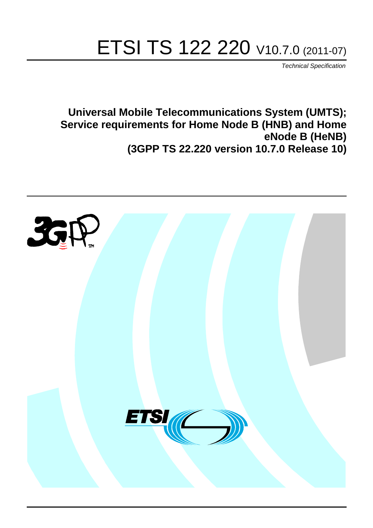# ETSI TS 122 220 V10.7.0 (2011-07)

*Technical Specification*

**Universal Mobile Telecommunications System (UMTS); Service requirements for Home Node B (HNB) and Home eNode B (HeNB) (3GPP TS 22.220 version 10.7.0 Release 10)**

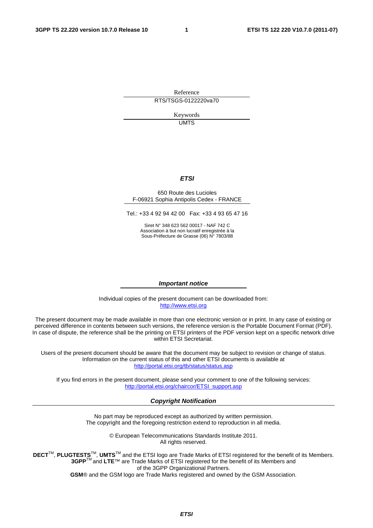Reference RTS/TSGS-0122220va70

> Keywords UMTS

#### *ETSI*

#### 650 Route des Lucioles F-06921 Sophia Antipolis Cedex - FRANCE

Tel.: +33 4 92 94 42 00 Fax: +33 4 93 65 47 16

Siret N° 348 623 562 00017 - NAF 742 C Association à but non lucratif enregistrée à la Sous-Préfecture de Grasse (06) N° 7803/88

#### *Important notice*

Individual copies of the present document can be downloaded from: [http://www.etsi.org](http://www.etsi.org/)

The present document may be made available in more than one electronic version or in print. In any case of existing or perceived difference in contents between such versions, the reference version is the Portable Document Format (PDF). In case of dispute, the reference shall be the printing on ETSI printers of the PDF version kept on a specific network drive within ETSI Secretariat.

Users of the present document should be aware that the document may be subject to revision or change of status. Information on the current status of this and other ETSI documents is available at <http://portal.etsi.org/tb/status/status.asp>

If you find errors in the present document, please send your comment to one of the following services: [http://portal.etsi.org/chaircor/ETSI\\_support.asp](http://portal.etsi.org/chaircor/ETSI_support.asp)

#### *Copyright Notification*

No part may be reproduced except as authorized by written permission. The copyright and the foregoing restriction extend to reproduction in all media.

> © European Telecommunications Standards Institute 2011. All rights reserved.

DECT<sup>™</sup>, PLUGTESTS<sup>™</sup>, UMTS<sup>™</sup> and the ETSI logo are Trade Marks of ETSI registered for the benefit of its Members. **3GPP**TM and **LTE**™ are Trade Marks of ETSI registered for the benefit of its Members and of the 3GPP Organizational Partners.

**GSM**® and the GSM logo are Trade Marks registered and owned by the GSM Association.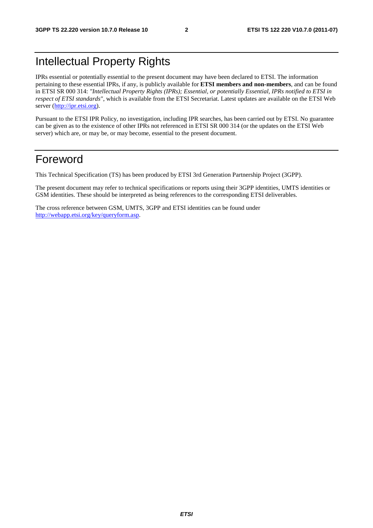## Intellectual Property Rights

IPRs essential or potentially essential to the present document may have been declared to ETSI. The information pertaining to these essential IPRs, if any, is publicly available for **ETSI members and non-members**, and can be found in ETSI SR 000 314: *"Intellectual Property Rights (IPRs); Essential, or potentially Essential, IPRs notified to ETSI in respect of ETSI standards"*, which is available from the ETSI Secretariat. Latest updates are available on the ETSI Web server [\(http://ipr.etsi.org](http://webapp.etsi.org/IPR/home.asp)).

Pursuant to the ETSI IPR Policy, no investigation, including IPR searches, has been carried out by ETSI. No guarantee can be given as to the existence of other IPRs not referenced in ETSI SR 000 314 (or the updates on the ETSI Web server) which are, or may be, or may become, essential to the present document.

## Foreword

This Technical Specification (TS) has been produced by ETSI 3rd Generation Partnership Project (3GPP).

The present document may refer to technical specifications or reports using their 3GPP identities, UMTS identities or GSM identities. These should be interpreted as being references to the corresponding ETSI deliverables.

The cross reference between GSM, UMTS, 3GPP and ETSI identities can be found under [http://webapp.etsi.org/key/queryform.asp.](http://webapp.etsi.org/key/queryform.asp)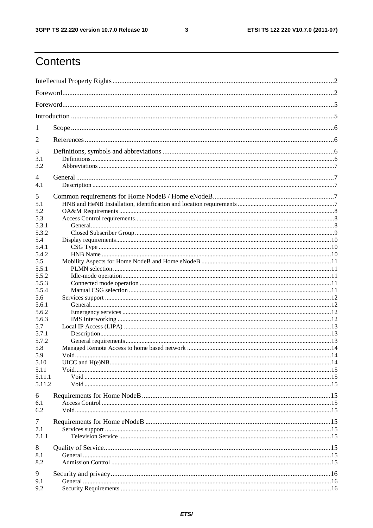$\mathbf{3}$ 

## Contents

| 1              |  |  |  |  |  |  |  |
|----------------|--|--|--|--|--|--|--|
| 2              |  |  |  |  |  |  |  |
| 3              |  |  |  |  |  |  |  |
| 3.1            |  |  |  |  |  |  |  |
| 3.2            |  |  |  |  |  |  |  |
| $\overline{4}$ |  |  |  |  |  |  |  |
| 4.1            |  |  |  |  |  |  |  |
| 5              |  |  |  |  |  |  |  |
| 5.1            |  |  |  |  |  |  |  |
| 5.2            |  |  |  |  |  |  |  |
| 5.3            |  |  |  |  |  |  |  |
| 5.3.1          |  |  |  |  |  |  |  |
| 5.3.2          |  |  |  |  |  |  |  |
| 5.4<br>5.4.1   |  |  |  |  |  |  |  |
| 5.4.2          |  |  |  |  |  |  |  |
| 5.5            |  |  |  |  |  |  |  |
| 5.5.1          |  |  |  |  |  |  |  |
| 5.5.2          |  |  |  |  |  |  |  |
| 5.5.3          |  |  |  |  |  |  |  |
| 5.5.4          |  |  |  |  |  |  |  |
| 5.6            |  |  |  |  |  |  |  |
| 5.6.1<br>5.6.2 |  |  |  |  |  |  |  |
| 5.6.3          |  |  |  |  |  |  |  |
| 5.7            |  |  |  |  |  |  |  |
| 5.7.1          |  |  |  |  |  |  |  |
| 5.7.2          |  |  |  |  |  |  |  |
| 5.8            |  |  |  |  |  |  |  |
| 5.9            |  |  |  |  |  |  |  |
| 5.10           |  |  |  |  |  |  |  |
| 5.11<br>5.11.1 |  |  |  |  |  |  |  |
| 5.11.2         |  |  |  |  |  |  |  |
|                |  |  |  |  |  |  |  |
| 6              |  |  |  |  |  |  |  |
| 6.1            |  |  |  |  |  |  |  |
| 6.2            |  |  |  |  |  |  |  |
| 7              |  |  |  |  |  |  |  |
| 7.1            |  |  |  |  |  |  |  |
| 7.1.1          |  |  |  |  |  |  |  |
| 8              |  |  |  |  |  |  |  |
| 8.1            |  |  |  |  |  |  |  |
| 8.2            |  |  |  |  |  |  |  |
| 9              |  |  |  |  |  |  |  |
| 9.1            |  |  |  |  |  |  |  |
| 9.2            |  |  |  |  |  |  |  |
|                |  |  |  |  |  |  |  |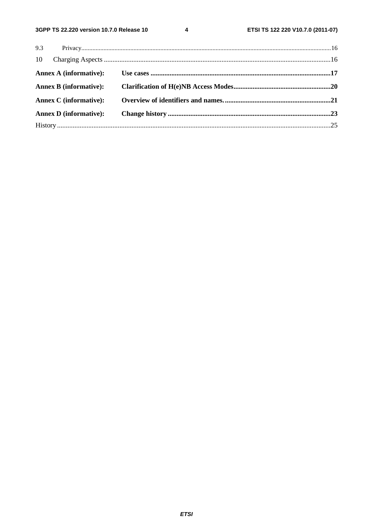$\overline{\mathbf{4}}$ 

| <b>Annex B (informative):</b> |  |
|-------------------------------|--|
| <b>Annex C</b> (informative): |  |
| <b>Annex D</b> (informative): |  |
|                               |  |
|                               |  |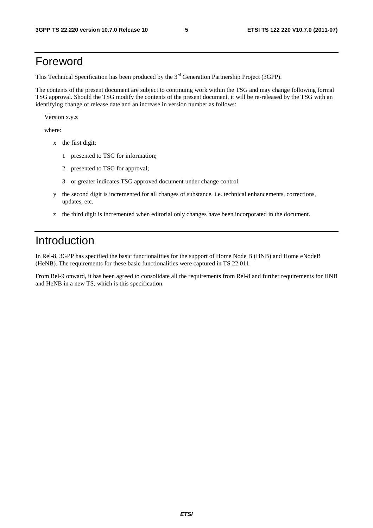### Foreword

This Technical Specification has been produced by the 3<sup>rd</sup> Generation Partnership Project (3GPP).

The contents of the present document are subject to continuing work within the TSG and may change following formal TSG approval. Should the TSG modify the contents of the present document, it will be re-released by the TSG with an identifying change of release date and an increase in version number as follows:

Version x.y.z

where:

- x the first digit:
	- 1 presented to TSG for information;
	- 2 presented to TSG for approval;
	- 3 or greater indicates TSG approved document under change control.
- y the second digit is incremented for all changes of substance, i.e. technical enhancements, corrections, updates, etc.
- z the third digit is incremented when editorial only changes have been incorporated in the document.

## Introduction

In Rel-8, 3GPP has specified the basic functionalities for the support of Home Node B (HNB) and Home eNodeB (HeNB). The requirements for these basic functionalities were captured in TS 22.011.

From Rel-9 onward, it has been agreed to consolidate all the requirements from Rel-8 and further requirements for HNB and HeNB in a new TS, which is this specification.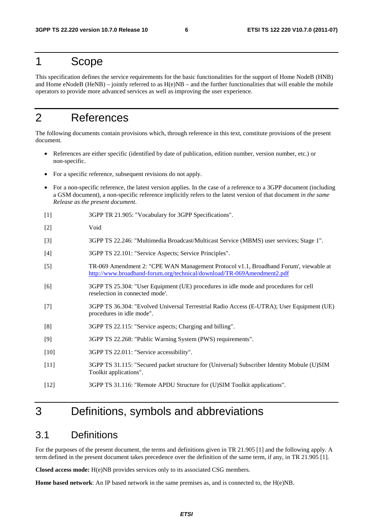### 1 Scope

This specification defines the service requirements for the basic functionalities for the support of Home NodeB (HNB) and Home eNodeB (HeNB) – jointly referred to as  $H(e)NB$  – and the further functionalities that will enable the mobile operators to provide more advanced services as well as improving the user experience.

## 2 References

The following documents contain provisions which, through reference in this text, constitute provisions of the present document.

- References are either specific (identified by date of publication, edition number, version number, etc.) or non-specific.
- For a specific reference, subsequent revisions do not apply.
- For a non-specific reference, the latest version applies. In the case of a reference to a 3GPP document (including a GSM document), a non-specific reference implicitly refers to the latest version of that document *in the same Release as the present document*.
- [1] 3GPP TR 21.905: "Vocabulary for 3GPP Specifications".
- [2] Void
- [3] 3GPP TS 22.246: "Multimedia Broadcast/Multicast Service (MBMS) user services; Stage 1".
- [4] 3GPP TS 22.101: "Service Aspects; Service Principles".
- [5] TR-069 Amendment 2: "CPE WAN Management Protocol v1.1, Broadband Forum', viewable at <http://www.broadband-forum.org/technical/download/TR-069Amendment2.pdf>
- [6] 3GPP TS 25.304: "User Equipment (UE) procedures in idle mode and procedures for cell reselection in connected mode'.
- [7] 3GPP TS 36.304: "Evolved Universal Terrestrial Radio Access (E-UTRA); User Equipment (UE) procedures in idle mode".
- [8] 3GPP TS 22.115: "Service aspects; Charging and billing".
- [9] 3GPP TS 22.268: "Public Warning System (PWS) requirements".
- [10] 3GPP TS 22.011: "Service accessibility".
- [11] 3GPP TS 31.115: "Secured packet structure for (Universal) Subscriber Identity Mobule (U)SIM Toolkit applications".
- [12] 3GPP TS 31.116: "Remote APDU Structure for (U)SIM Toolkit applications".

## 3 Definitions, symbols and abbreviations

#### 3.1 Definitions

For the purposes of the present document, the terms and definitions given in TR 21.905 [1] and the following apply. A term defined in the present document takes precedence over the definition of the same term, if any, in TR 21.905 [1].

**Closed access mode:** H(e)NB provides services only to its associated CSG members.

**Home based network**: An IP based network in the same premises as, and is connected to, the H(e)NB.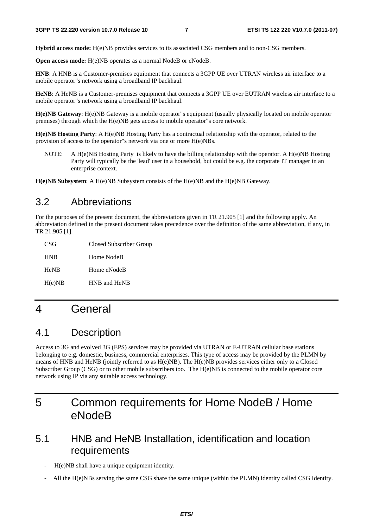**Hybrid access mode:** H(e)NB provides services to its associated CSG members and to non-CSG members.

**Open access mode:** H(e)NB operates as a normal NodeB or eNodeB.

**HNB**: A HNB is a Customer-premises equipment that connects a 3GPP UE over UTRAN wireless air interface to a mobile operator"s network using a broadband IP backhaul.

**HeNB**: A HeNB is a Customer-premises equipment that connects a 3GPP UE over EUTRAN wireless air interface to a mobile operator"s network using a broadband IP backhaul.

**H(e)NB Gateway**: H(e)NB Gateway is a mobile operator"s equipment (usually physically located on mobile operator premises) through which the H(e)NB gets access to mobile operator"s core network.

**H(e)NB Hosting Party**: A H(e)NB Hosting Party has a contractual relationship with the operator, related to the provision of access to the operator"s network via one or more H(e)NBs.

NOTE: A H(e)NB Hosting Party is likely to have the billing relationship with the operator. A H(e)NB Hosting Party will typically be the 'lead' user in a household, but could be e.g. the corporate IT manager in an enterprise context.

**H(e)NB Subsystem**: A H(e)NB Subsystem consists of the H(e)NB and the H(e)NB Gateway.

### 3.2 Abbreviations

For the purposes of the present document, the abbreviations given in TR 21.905 [1] and the following apply. An abbreviation defined in the present document takes precedence over the definition of the same abbreviation, if any, in TR 21.905 [1].

| CSG         | Closed Subscriber Group |
|-------------|-------------------------|
| <b>HNB</b>  | Home NodeB              |
| <b>HeNB</b> | Home eNodeB             |
| H(e)NB      | HNB and HeNB            |

## 4 General

### 4.1 Description

Access to 3G and evolved 3G (EPS) services may be provided via UTRAN or E-UTRAN cellular base stations belonging to e.g. domestic, business, commercial enterprises. This type of access may be provided by the PLMN by means of HNB and HeNB (jointly referred to as H(e)NB). The H(e)NB provides services either only to a Closed Subscriber Group (CSG) or to other mobile subscribers too. The H(e)NB is connected to the mobile operator core network using IP via any suitable access technology.

## 5 Common requirements for Home NodeB / Home eNodeB

### 5.1 HNB and HeNB Installation, identification and location requirements

- H(e)NB shall have a unique equipment identity.
- All the H(e)NBs serving the same CSG share the same unique (within the PLMN) identity called CSG Identity.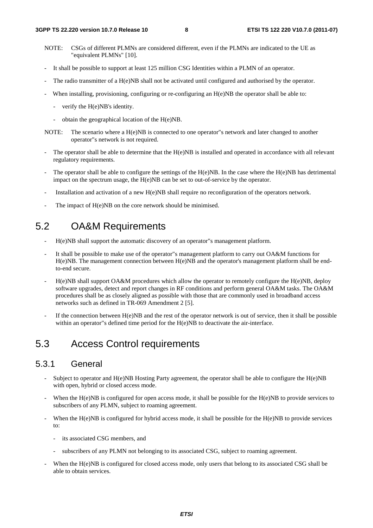- NOTE: CSGs of different PLMNs are considered different, even if the PLMNs are indicated to the UE as "equivalent PLMNs" [10].
- It shall be possible to support at least 125 million CSG Identities within a PLMN of an operator.
- The radio transmitter of a H(e)NB shall not be activated until configured and authorised by the operator.
- When installing, provisioning, configuring or re-configuring an  $H(e)NB$  the operator shall be able to:
	- verify the H(e)NB's identity.
	- obtain the geographical location of the H(e)NB.
- NOTE: The scenario where a H(e)NB is connected to one operator"s network and later changed to another operator"s network is not required.
- The operator shall be able to determine that the  $H(e)NB$  is installed and operated in accordance with all relevant regulatory requirements.
- The operator shall be able to configure the settings of the  $H(e)NB$ . In the case where the  $H(e)NB$  has detrimental impact on the spectrum usage, the H(e)NB can be set to out-of-service by the operator.
- Installation and activation of a new H(e)NB shall require no reconfiguration of the operators network.
- The impact of H(e)NB on the core network should be minimised.

### 5.2 OA&M Requirements

- H(e)NB shall support the automatic discovery of an operator"s management platform.
- It shall be possible to make use of the operator"s management platform to carry out OA&M functions for H(e)NB. The management connection between H(e)NB and the operator's management platform shall be endto-end secure.
- H(e)NB shall support OA&M procedures which allow the operator to remotely configure the H(e)NB, deploy software upgrades, detect and report changes in RF conditions and perform general OA&M tasks. The OA&M procedures shall be as closely aligned as possible with those that are commonly used in broadband access networks such as defined in TR-069 Amendment 2 [5].
- If the connection between  $H(e)NB$  and the rest of the operator network is out of service, then it shall be possible within an operator"s defined time period for the H(e)NB to deactivate the air-interface.

### 5.3 Access Control requirements

#### 5.3.1 General

- Subject to operator and  $H(e)NB$  Hosting Party agreement, the operator shall be able to configure the  $H(e)NB$ with open, hybrid or closed access mode.
- When the  $H(e)NB$  is configured for open access mode, it shall be possible for the  $H(e)NB$  to provide services to subscribers of any PLMN, subject to roaming agreement.
- When the  $H(e)NB$  is configured for hybrid access mode, it shall be possible for the  $H(e)NB$  to provide services to:
	- its associated CSG members, and
	- subscribers of any PLMN not belonging to its associated CSG, subject to roaming agreement.
- When the H(e)NB is configured for closed access mode, only users that belong to its associated CSG shall be able to obtain services.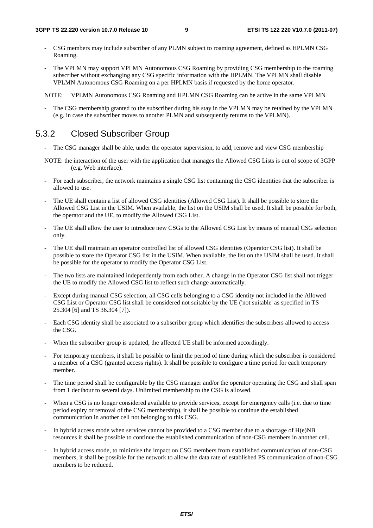- CSG members may include subscriber of any PLMN subject to roaming agreement, defined as HPLMN CSG Roaming.
- The VPLMN may support VPLMN Autonomous CSG Roaming by providing CSG membership to the roaming subscriber without exchanging any CSG specific information with the HPLMN. The VPLMN shall disable VPLMN Autonomous CSG Roaming on a per HPLMN basis if requested by the home operator.

NOTE: VPLMN Autonomous CSG Roaming and HPLMN CSG Roaming can be active in the same VPLMN

The CSG membership granted to the subscriber during his stay in the VPLMN may be retained by the VPLMN (e.g. in case the subscriber moves to another PLMN and subsequently returns to the VPLMN).

#### 5.3.2 Closed Subscriber Group

- The CSG manager shall be able, under the operator supervision, to add, remove and view CSG membership
- NOTE: the interaction of the user with the application that manages the Allowed CSG Lists is out of scope of 3GPP (e.g. Web interface).
- For each subscriber, the network maintains a single CSG list containing the CSG identities that the subscriber is allowed to use.
- The UE shall contain a list of allowed CSG identities (Allowed CSG List). It shall be possible to store the Allowed CSG List in the USIM. When available, the list on the USIM shall be used. It shall be possible for both, the operator and the UE, to modify the Allowed CSG List.
- The UE shall allow the user to introduce new CSGs to the Allowed CSG List by means of manual CSG selection only.
- The UE shall maintain an operator controlled list of allowed CSG identities (Operator CSG list). It shall be possible to store the Operator CSG list in the USIM. When available, the list on the USIM shall be used. It shall be possible for the operator to modify the Operator CSG List.
- The two lists are maintained independently from each other. A change in the Operator CSG list shall not trigger the UE to modify the Allowed CSG list to reflect such change automatically.
- Except during manual CSG selection, all CSG cells belonging to a CSG identity not included in the Allowed CSG List or Operator CSG list shall be considered not suitable by the UE ('not suitable' as specified in TS 25.304 [6] and TS 36.304 [7]).
- Each CSG identity shall be associated to a subscriber group which identifies the subscribers allowed to access the CSG.
- When the subscriber group is updated, the affected UE shall be informed accordingly.
- For temporary members, it shall be possible to limit the period of time during which the subscriber is considered a member of a CSG (granted access rights). It shall be possible to configure a time period for each temporary member.
- The time period shall be configurable by the CSG manager and/or the operator operating the CSG and shall span from 1 decihour to several days. Unlimited membership to the CSG is allowed.
- When a CSG is no longer considered available to provide services, except for emergency calls (i.e. due to time period expiry or removal of the CSG membership), it shall be possible to continue the established communication in another cell not belonging to this CSG.
- In hybrid access mode when services cannot be provided to a CSG member due to a shortage of  $H(e)NB$ resources it shall be possible to continue the established communication of non-CSG members in another cell.
- In hybrid access mode, to minimise the impact on CSG members from established communication of non-CSG members, it shall be possible for the network to allow the data rate of established PS communication of non-CSG members to be reduced.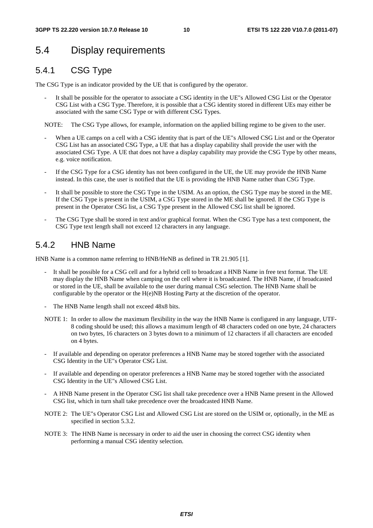## 5.4 Display requirements

### 5.4.1 CSG Type

The CSG Type is an indicator provided by the UE that is configured by the operator.

It shall be possible for the operator to associate a CSG identity in the UE"s Allowed CSG List or the Operator CSG List with a CSG Type. Therefore, it is possible that a CSG identity stored in different UEs may either be associated with the same CSG Type or with different CSG Types.

NOTE: The CSG Type allows, for example, information on the applied billing regime to be given to the user.

- When a UE camps on a cell with a CSG identity that is part of the UE"s Allowed CSG List and or the Operator CSG List has an associated CSG Type, a UE that has a display capability shall provide the user with the associated CSG Type. A UE that does not have a display capability may provide the CSG Type by other means, e.g. voice notification.
- If the CSG Type for a CSG identity has not been configured in the UE, the UE may provide the HNB Name instead. In this case, the user is notified that the UE is providing the HNB Name rather than CSG Type.
- It shall be possible to store the CSG Type in the USIM. As an option, the CSG Type may be stored in the ME. If the CSG Type is present in the USIM, a CSG Type stored in the ME shall be ignored. If the CSG Type is present in the Operator CSG list, a CSG Type present in the Allowed CSG list shall be ignored.
- The CSG Type shall be stored in text and/or graphical format. When the CSG Type has a text component, the CSG Type text length shall not exceed 12 characters in any language.

### 5.4.2 HNB Name

HNB Name is a common name referring to HNB/HeNB as defined in TR 21.905 [1].

- It shall be possible for a CSG cell and for a hybrid cell to broadcast a HNB Name in free text format. The UE may display the HNB Name when camping on the cell where it is broadcasted. The HNB Name, if broadcasted or stored in the UE, shall be available to the user during manual CSG selection. The HNB Name shall be configurable by the operator or the H(e)NB Hosting Party at the discretion of the operator.
- The HNB Name length shall not exceed 48x8 bits.
- NOTE 1: In order to allow the maximum flexibility in the way the HNB Name is configured in any language, UTF-8 coding should be used; this allows a maximum length of 48 characters coded on one byte, 24 characters on two bytes, 16 characters on 3 bytes down to a minimum of 12 characters if all characters are encoded on 4 bytes.
- If available and depending on operator preferences a HNB Name may be stored together with the associated CSG Identity in the UE"s Operator CSG List.
- If available and depending on operator preferences a HNB Name may be stored together with the associated CSG Identity in the UE"s Allowed CSG List.
- A HNB Name present in the Operator CSG list shall take precedence over a HNB Name present in the Allowed CSG list, which in turn shall take precedence over the broadcasted HNB Name.
- NOTE 2: The UE"s Operator CSG List and Allowed CSG List are stored on the USIM or, optionally, in the ME as specified in section 5.3.2.
- NOTE 3: The HNB Name is necessary in order to aid the user in choosing the correct CSG identity when performing a manual CSG identity selection.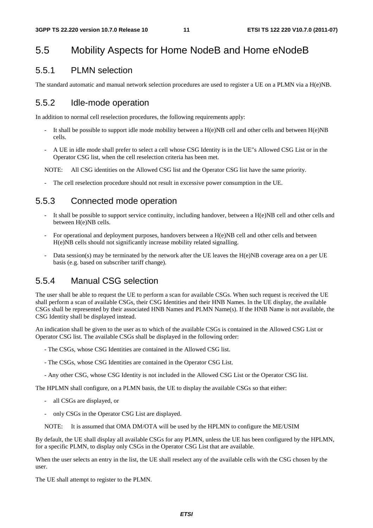### 5.5 Mobility Aspects for Home NodeB and Home eNodeB

#### 5.5.1 PLMN selection

The standard automatic and manual network selection procedures are used to register a UE on a PLMN via a H(e)NB.

#### 5.5.2 Idle-mode operation

In addition to normal cell reselection procedures, the following requirements apply:

- It shall be possible to support idle mode mobility between a  $H(e)NB$  cell and other cells and between  $H(e)NB$ cells.
- A UE in idle mode shall prefer to select a cell whose CSG Identity is in the UE"s Allowed CSG List or in the Operator CSG list, when the cell reselection criteria has been met.

NOTE: All CSG identities on the Allowed CSG list and the Operator CSG list have the same priority.

The cell reselection procedure should not result in excessive power consumption in the UE.

#### 5.5.3 Connected mode operation

- It shall be possible to support service continuity, including handover, between a  $H(e)NB$  cell and other cells and between H(e)NB cells.
- For operational and deployment purposes, handovers between a H(e)NB cell and other cells and between H(e)NB cells should not significantly increase mobility related signalling.
- Data session(s) may be terminated by the network after the UE leaves the H(e)NB coverage area on a per UE basis (e.g. based on subscriber tariff change).

#### 5.5.4 Manual CSG selection

The user shall be able to request the UE to perform a scan for available CSGs. When such request is received the UE shall perform a scan of available CSGs, their CSG Identities and their HNB Names. In the UE display, the available CSGs shall be represented by their associated HNB Names and PLMN Name(s). If the HNB Name is not available, the CSG Identity shall be displayed instead.

An indication shall be given to the user as to which of the available CSGs is contained in the Allowed CSG List or Operator CSG list. The available CSGs shall be displayed in the following order:

- The CSGs, whose CSG Identities are contained in the Allowed CSG list.
- The CSGs, whose CSG Identities are contained in the Operator CSG List.
- Any other CSG, whose CSG Identity is not included in the Allowed CSG List or the Operator CSG list.

The HPLMN shall configure, on a PLMN basis, the UE to display the available CSGs so that either:

- all CSGs are displayed, or
- only CSGs in the Operator CSG List are displayed.
- NOTE: It is assumed that OMA DM/OTA will be used by the HPLMN to configure the ME/USIM

By default, the UE shall display all available CSGs for any PLMN, unless the UE has been configured by the HPLMN, for a specific PLMN, to display only CSGs in the Operator CSG List that are available.

When the user selects an entry in the list, the UE shall reselect any of the available cells with the CSG chosen by the user.

The UE shall attempt to register to the PLMN.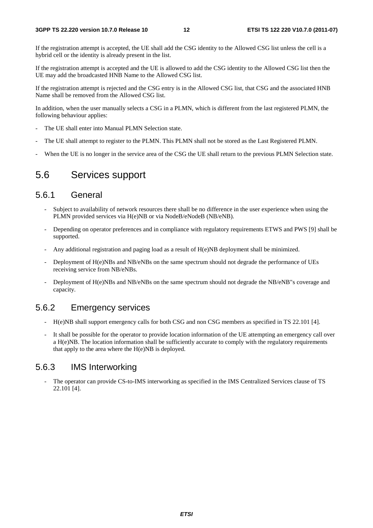If the registration attempt is accepted, the UE shall add the CSG identity to the Allowed CSG list unless the cell is a hybrid cell or the identity is already present in the list.

If the registration attempt is accepted and the UE is allowed to add the CSG identity to the Allowed CSG list then the UE may add the broadcasted HNB Name to the Allowed CSG list.

If the registration attempt is rejected and the CSG entry is in the Allowed CSG list, that CSG and the associated HNB Name shall be removed from the Allowed CSG list.

In addition, when the user manually selects a CSG in a PLMN, which is different from the last registered PLMN, the following behaviour applies:

- The UE shall enter into Manual PLMN Selection state.
- The UE shall attempt to register to the PLMN. This PLMN shall not be stored as the Last Registered PLMN.
- When the UE is no longer in the service area of the CSG the UE shall return to the previous PLMN Selection state.

### 5.6 Services support

#### 5.6.1 General

- Subject to availability of network resources there shall be no difference in the user experience when using the PLMN provided services via H(e)NB or via NodeB/eNodeB (NB/eNB).
- Depending on operator preferences and in compliance with regulatory requirements ETWS and PWS [9] shall be supported.
- Any additional registration and paging load as a result of H(e)NB deployment shall be minimized.
- Deployment of H(e)NBs and NB/eNBs on the same spectrum should not degrade the performance of UEs receiving service from NB/eNBs.
- Deployment of H(e)NBs and NB/eNBs on the same spectrum should not degrade the NB/eNB"s coverage and capacity.

#### 5.6.2 Emergency services

- H(e)NB shall support emergency calls for both CSG and non CSG members as specified in TS 22.101 [4].
- It shall be possible for the operator to provide location information of the UE attempting an emergency call over a H(e)NB. The location information shall be sufficiently accurate to comply with the regulatory requirements that apply to the area where the  $H(e)NB$  is deployed.

#### 5.6.3 IMS Interworking

The operator can provide CS-to-IMS interworking as specified in the IMS Centralized Services clause of TS 22.101 [4].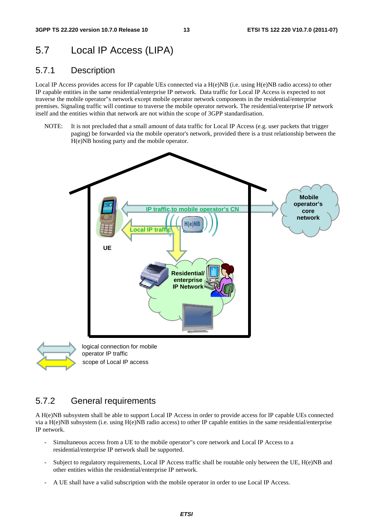### 5.7 Local IP Access (LIPA)

#### 5.7.1 Description

Local IP Access provides access for IP capable UEs connected via a H(e)NB (i.e. using H(e)NB radio access) to other IP capable entities in the same residential/enterprise IP network. Data traffic for Local IP Access is expected to not traverse the mobile operator"s network except mobile operator network components in the residential/enterprise premises. Signaling traffic will continue to traverse the mobile operator network. The residential/enterprise IP network itself and the entities within that network are not within the scope of 3GPP standardisation.

NOTE: It is not precluded that a small amount of data traffic for Local IP Access (e.g. user packets that trigger paging) be forwarded via the mobile operator's network, provided there is a trust relationship between the H(e)NB hosting party and the mobile operator.





scope of Local IP access

#### 5.7.2 General requirements

A H(e)NB subsystem shall be able to support Local IP Access in order to provide access for IP capable UEs connected via a H(e)NB subsystem (i.e. using H(e)NB radio access) to other IP capable entities in the same residential/enterprise IP network.

- Simultaneous access from a UE to the mobile operator"s core network and Local IP Access to a residential/enterprise IP network shall be supported.
- Subject to regulatory requirements, Local IP Access traffic shall be routable only between the UE, H(e)NB and other entities within the residential/enterprise IP network.
- A UE shall have a valid subscription with the mobile operator in order to use Local IP Access.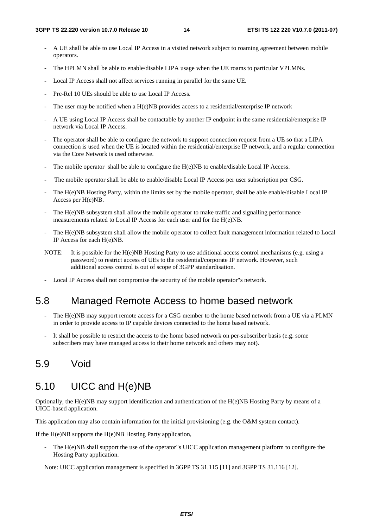- A UE shall be able to use Local IP Access in a visited network subject to roaming agreement between mobile operators.
- The HPLMN shall be able to enable/disable LIPA usage when the UE roams to particular VPLMNs.
- Local IP Access shall not affect services running in parallel for the same UE.
- Pre-Rel 10 UEs should be able to use Local IP Access.
- The user may be notified when a  $H(e)NB$  provides access to a residential/enterprise IP network
- A UE using Local IP Access shall be contactable by another IP endpoint in the same residential/enterprise IP network via Local IP Access.
- The operator shall be able to configure the network to support connection request from a UE so that a LIPA connection is used when the UE is located within the residential/enterprise IP network, and a regular connection via the Core Network is used otherwise.
- The mobile operator shall be able to configure the  $H(e)NB$  to enable/disable Local IP Access.
- The mobile operator shall be able to enable/disable Local IP Access per user subscription per CSG.
- The H(e)NB Hosting Party, within the limits set by the mobile operator, shall be able enable/disable Local IP Access per H(e)NB.
- The H(e)NB subsystem shall allow the mobile operator to make traffic and signalling performance measurements related to Local IP Access for each user and for the H(e)NB.
- The H(e)NB subsystem shall allow the mobile operator to collect fault management information related to Local IP Access for each H(e)NB.
- NOTE: It is possible for the H(e)NB Hosting Party to use additional access control mechanisms (e.g. using a password) to restrict access of UEs to the residential/corporate IP network. However, such additional access control is out of scope of 3GPP standardisation.
- Local IP Access shall not compromise the security of the mobile operator"s network.

### 5.8 Managed Remote Access to home based network

- The H(e)NB may support remote access for a CSG member to the home based network from a UE via a PLMN in order to provide access to IP capable devices connected to the home based network.
- It shall be possible to restrict the access to the home based network on per-subscriber basis (e.g. some subscribers may have managed access to their home network and others may not).

### 5.9 Void

#### 5.10 UICC and H(e)NB

Optionally, the H(e)NB may support identification and authentication of the H(e)NB Hosting Party by means of a UICC-based application.

This application may also contain information for the initial provisioning (e.g. the O&M system contact).

If the H(e)NB supports the H(e)NB Hosting Party application,

The H(e)NB shall support the use of the operator"s UICC application management platform to configure the Hosting Party application.

Note: UICC application management is specified in 3GPP TS 31.115 [11] and 3GPP TS 31.116 [12].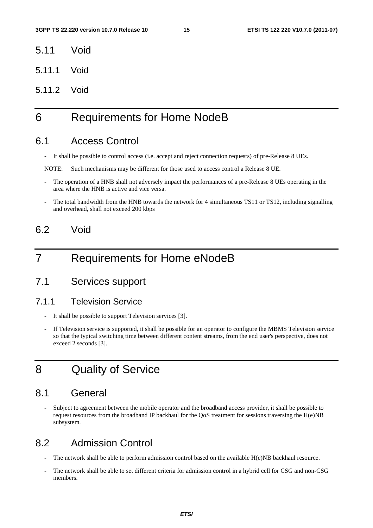- 5.11 Void
- 5.11.1 Void
- 5.11.2 Void

## 6 Requirements for Home NodeB

#### 6.1 Access Control

- It shall be possible to control access (i.e. accept and reject connection requests) of pre-Release 8 UEs.

NOTE: Such mechanisms may be different for those used to access control a Release 8 UE.

- The operation of a HNB shall not adversely impact the performances of a pre-Release 8 UEs operating in the area where the HNB is active and vice versa.
- The total bandwidth from the HNB towards the network for 4 simultaneous TS11 or TS12, including signalling and overhead, shall not exceed 200 kbps

### 6.2 Void

### 7 Requirements for Home eNodeB

### 7.1 Services support

#### 7.1.1 Television Service

- It shall be possible to support Television services [3].
- If Television service is supported, it shall be possible for an operator to configure the MBMS Television service so that the typical switching time between different content streams, from the end user's perspective, does not exceed 2 seconds [3].

### 8 Quality of Service

#### 8.1 General

Subject to agreement between the mobile operator and the broadband access provider, it shall be possible to request resources from the broadband IP backhaul for the QoS treatment for sessions traversing the  $H(e)NB$ subsystem.

### 8.2 Admission Control

- The network shall be able to perform admission control based on the available H(e)NB backhaul resource.
- The network shall be able to set different criteria for admission control in a hybrid cell for CSG and non-CSG members.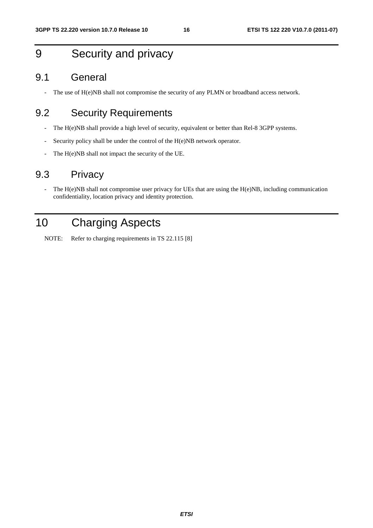## 9 Security and privacy

### 9.1 General

- The use of H(e)NB shall not compromise the security of any PLMN or broadband access network.

### 9.2 Security Requirements

- The H(e)NB shall provide a high level of security, equivalent or better than Rel-8 3GPP systems.
- Security policy shall be under the control of the H(e)NB network operator.
- The H(e)NB shall not impact the security of the UE.

### 9.3 Privacy

- The H(e)NB shall not compromise user privacy for UEs that are using the H(e)NB, including communication confidentiality, location privacy and identity protection.

## 10 Charging Aspects

NOTE: Refer to charging requirements in TS 22.115 [8]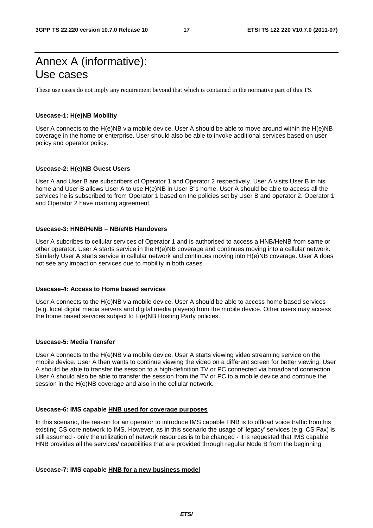## Annex A (informative): Use cases

These use cases do not imply any requirement beyond that which is contained in the normative part of this TS.

#### **Usecase-1: H(e)NB Mobility**

User A connects to the H(e)NB via mobile device. User A should be able to move around within the H(e)NB coverage in the home or enterprise. User should also be able to invoke additional services based on user policy and operator policy.

#### **Usecase-2: H(e)NB Guest Users**

User A and User B are subscribers of Operator 1 and Operator 2 respectively. User A visits User B in his home and User B allows User A to use H(e)NB in User B"s home. User A should be able to access all the services he is subscribed to from Operator 1 based on the policies set by User B and operator 2. Operator 1 and Operator 2 have roaming agreement.

#### **Usecase-3: HNB/HeNB – NB/eNB Handovers**

User A subcribes to cellular services of Operator 1 and is authorised to access a HNB/HeNB from same or other operator. User A starts service in the H(e)NB coverage and continues moving into a cellular network. Similarly User A starts service in cellular network and continues moving into H(e)NB coverage. User A does not see any impact on services due to mobility in both cases.

#### **Usecase-4: Access to Home based services**

User A connects to the H(e)NB via mobile device. User A should be able to access home based services (e.g. local digital media servers and digital media players) from the mobile device. Other users may access the home based services subject to H(e)NB Hosting Party policies.

#### **Usecase-5: Media Transfer**

User A connects to the H(e)NB via mobile device. User A starts viewing video streaming service on the mobile device. User A then wants to continue viewing the video on a different screen for better viewing. User A should be able to transfer the session to a high-definition TV or PC connected via broadband connection. User A should also be able to transfer the session from the TV or PC to a mobile device and continue the session in the H(e)NB coverage and also in the cellular network.

#### **Usecase-6: IMS capable HNB used for coverage purposes**

In this scenario, the reason for an operator to introduce IMS capable HNB is to offload voice traffic from his existing CS core network to IMS. However, as in this scenario the usage of 'legacy' services (e.g. CS Fax) is still assumed - only the utilization of network resources is to be changed - it is requested that IMS capable HNB provides all the services/ capabilities that are provided through regular Node B from the beginning.

#### **Usecase-7: IMS capable HNB for a new business model**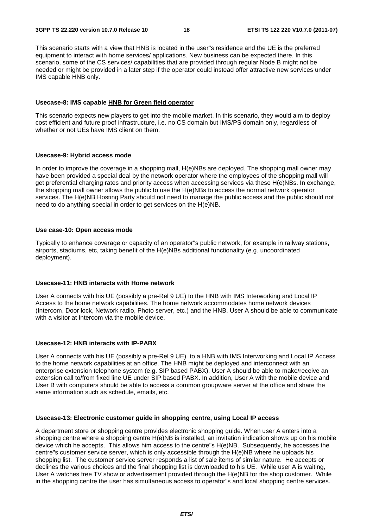This scenario starts with a view that HNB is located in the user"s residence and the UE is the preferred equipment to interact with home services/ applications. New business can be expected there. In this scenario, some of the CS services/ capabilities that are provided through regular Node B might not be needed or might be provided in a later step if the operator could instead offer attractive new services under IMS capable HNB only.

#### **Usecase-8: IMS capable HNB for Green field operator**

This scenario expects new players to get into the mobile market. In this scenario, they would aim to deploy cost efficient and future proof infrastructure, i.e. no CS domain but IMS/PS domain only, regardless of whether or not UEs have IMS client on them.

#### **Usecase-9: Hybrid access mode**

In order to improve the coverage in a shopping mall, H(e)NBs are deployed. The shopping mall owner may have been provided a special deal by the network operator where the employees of the shopping mall will get preferential charging rates and priority access when accessing services via these H(e)NBs. In exchange, the shopping mall owner allows the public to use the H(e)NBs to access the normal network operator services. The H(e)NB Hosting Party should not need to manage the public access and the public should not need to do anything special in order to get services on the H(e)NB.

#### **Use case-10: Open access mode**

Typically to enhance coverage or capacity of an operator"s public network, for example in railway stations, airports, stadiums, etc, taking benefit of the H(e)NBs additional functionality (e.g. uncoordinated deployment).

#### **Usecase-11: HNB interacts with Home network**

User A connects with his UE (possibly a pre-Rel 9 UE) to the HNB with IMS Interworking and Local IP Access to the home network capabilities. The home network accommodates home network devices (Intercom, Door lock, Network radio, Photo server, etc.) and the HNB. User A should be able to communicate with a visitor at Intercom via the mobile device.

#### **Usecase-12: HNB interacts with IP-PABX**

User A connects with his UE (possibly a pre-Rel 9 UE) to a HNB with IMS Interworking and Local IP Access to the home network capabilities at an office. The HNB might be deployed and interconnect with an enterprise extension telephone system (e.g. SIP based PABX). User A should be able to make/receive an extension call to/from fixed line UE under SIP based PABX. In addition, User A with the mobile device and User B with computers should be able to access a common groupware server at the office and share the same information such as schedule, emails, etc.

#### **Usecase-13: Electronic customer guide in shopping centre, using Local IP access**

A department store or shopping centre provides electronic shopping guide. When user A enters into a shopping centre where a shopping centre H(e)NB is installed, an invitation indication shows up on his mobile device which he accepts. This allows him access to the centre"s H(e)NB. Subsequently, he accesses the centre"s customer service server, which is only accessible through the H(e)NB where he uploads his shopping list. The customer service server responds a list of sale items of similar nature. He accepts or declines the various choices and the final shopping list is downloaded to his UE. While user A is waiting, User A watches free TV show or advertisement provided through the H(e)NB for the shop customer. While in the shopping centre the user has simultaneous access to operator"s and local shopping centre services.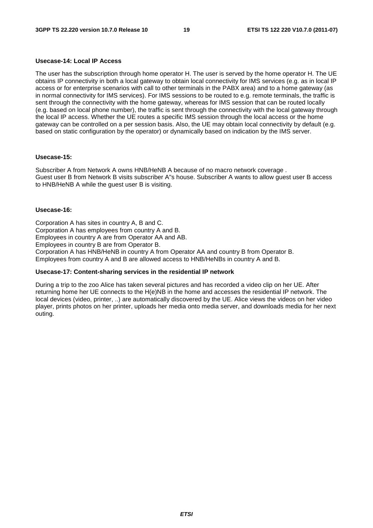#### **Usecase-14: Local IP Access**

The user has the subscription through home operator H. The user is served by the home operator H. The UE obtains IP connectivity in both a local gateway to obtain local connectivity for IMS services (e.g. as in local IP access or for enterprise scenarios with call to other terminals in the PABX area) and to a home gateway (as in normal connectivity for IMS services). For IMS sessions to be routed to e.g. remote terminals, the traffic is sent through the connectivity with the home gateway, whereas for IMS session that can be routed locally (e.g. based on local phone number), the traffic is sent through the connectivity with the local gateway through the local IP access. Whether the UE routes a specific IMS session through the local access or the home gateway can be controlled on a per session basis. Also, the UE may obtain local connectivity by default (e.g. based on static configuration by the operator) or dynamically based on indication by the IMS server.

#### **Usecase-15:**

Subscriber A from Network A owns HNB/HeNB A because of no macro network coverage . Guest user B from Network B visits subscriber A"s house. Subscriber A wants to allow guest user B access to HNB/HeNB A while the guest user B is visiting.

#### **Usecase-16:**

Corporation A has sites in country A, B and C. Corporation A has employees from country A and B. Employees in country A are from Operator AA and AB. Employees in country B are from Operator B. Corporation A has HNB/HeNB in country A from Operator AA and country B from Operator B. Employees from country A and B are allowed access to HNB/HeNBs in country A and B.

#### **Usecase-17: Content-sharing services in the residential IP network**

During a trip to the zoo Alice has taken several pictures and has recorded a video clip on her UE. After returning home her UE connects to the H(e)NB in the home and accesses the residential IP network. The local devices (video, printer, ..) are automatically discovered by the UE. Alice views the videos on her video player, prints photos on her printer, uploads her media onto media server, and downloads media for her next outing.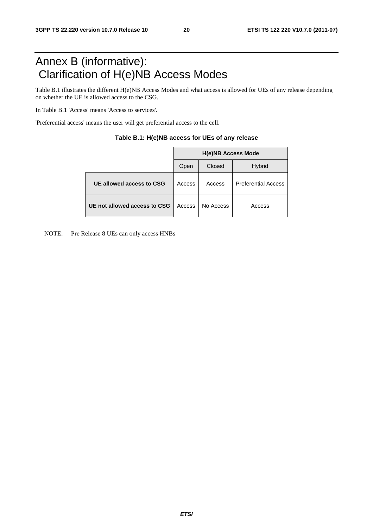## Annex B (informative): Clarification of H(e)NB Access Modes

Table B.1 illustrates the different H(e)NB Access Modes and what access is allowed for UEs of any release depending on whether the UE is allowed access to the CSG.

In Table B.1 'Access' means 'Access to services'.

'Preferential access' means the user will get preferential access to the cell.

|                              | <b>H(e)NB Access Mode</b> |           |                            |  |  |  |  |
|------------------------------|---------------------------|-----------|----------------------------|--|--|--|--|
|                              | Open                      | Closed    | <b>Hybrid</b>              |  |  |  |  |
| UE allowed access to CSG     | Access                    | Access    | <b>Preferential Access</b> |  |  |  |  |
| UE not allowed access to CSG | Access                    | No Access | Access                     |  |  |  |  |

| Table B.1: H(e)NB access for UEs of any release |  |  |  |
|-------------------------------------------------|--|--|--|
|-------------------------------------------------|--|--|--|

NOTE: Pre Release 8 UEs can only access HNBs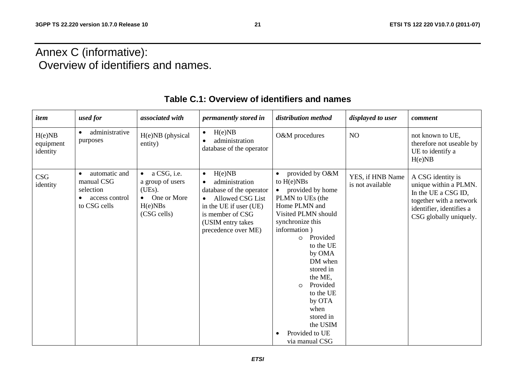## Annex C (informative): Overview of identifiers and names.

| item                            | used for                                                                                | associated with                                                                                | <i>permanently stored in</i>                                                                                                                                                                 | distribution method                                                                                                                                                                                                                                                                                                                                      | displayed to user                    | comment                                                                                                                                            |
|---------------------------------|-----------------------------------------------------------------------------------------|------------------------------------------------------------------------------------------------|----------------------------------------------------------------------------------------------------------------------------------------------------------------------------------------------|----------------------------------------------------------------------------------------------------------------------------------------------------------------------------------------------------------------------------------------------------------------------------------------------------------------------------------------------------------|--------------------------------------|----------------------------------------------------------------------------------------------------------------------------------------------------|
| H(e)NB<br>equipment<br>identity | administrative<br>purposes                                                              | H(e)NB (physical<br>entity)                                                                    | H(e)NB<br>$\bullet$<br>administration<br>database of the operator                                                                                                                            | O&M procedures                                                                                                                                                                                                                                                                                                                                           | NO                                   | not known to UE,<br>therefore not useable by<br>UE to identify a<br>H(e)NB                                                                         |
| CSG<br>identity                 | automatic and<br>$\bullet$<br>manual CSG<br>selection<br>access control<br>to CSG cells | $\bullet$ a CSG, i.e.<br>a group of users<br>(UEs).<br>• One or More<br>H(e)NBs<br>(CSG cells) | H(e)NB<br>$\bullet$<br>administration<br>database of the operator<br>Allowed CSG List<br>$\bullet$<br>in the UE if user (UE)<br>is member of CSG<br>(USIM entry takes<br>precedence over ME) | provided by O&M<br>to $H(e)NBs$<br>provided by home<br>PLMN to UEs (the<br>Home PLMN and<br>Visited PLMN should<br>synchronize this<br>information)<br>Provided<br>$\Omega$<br>to the UE<br>by OMA<br>DM when<br>stored in<br>the ME,<br>Provided<br>$\circ$<br>to the UE<br>by OTA<br>when<br>stored in<br>the USIM<br>Provided to UE<br>via manual CSG | YES, if HNB Name<br>is not available | A CSG identity is<br>unique within a PLMN.<br>In the UE a CSG ID,<br>together with a network<br>identifier, identifies a<br>CSG globally uniquely. |

### **Table C.1: Overview of identifiers and names**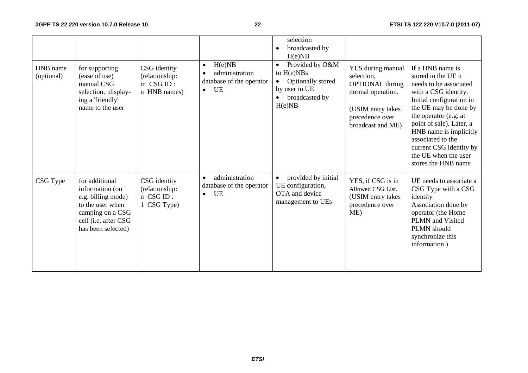|                        |                                                                                                                                               |                                                             |                                                                                      | selection<br>broadcasted by<br>H(e)NB                                                                                       |                                                                                                                                             |                                                                                                                                                                                                                                                                                                                              |
|------------------------|-----------------------------------------------------------------------------------------------------------------------------------------------|-------------------------------------------------------------|--------------------------------------------------------------------------------------|-----------------------------------------------------------------------------------------------------------------------------|---------------------------------------------------------------------------------------------------------------------------------------------|------------------------------------------------------------------------------------------------------------------------------------------------------------------------------------------------------------------------------------------------------------------------------------------------------------------------------|
| HNB name<br>(optional) | for supporting<br>(ease of use)<br>manual CSG<br>selection, display-<br>ing a 'friendly'<br>name to the user                                  | CSG identity<br>(relationship:<br>m CSG ID:<br>n HNB names) | H(e)NB<br>$\bullet$<br>administration<br>database of the operator<br>UE<br>$\bullet$ | Provided by O&M<br>$\bullet$<br>to $H(e)NBs$<br>Optionally stored<br>$\bullet$<br>by user in UE<br>broadcasted by<br>H(e)NB | YES during manual<br>selection,<br><b>OPTIONAL</b> during<br>normal operation.<br>(USIM entry takes<br>precedence over<br>broadcast and ME) | If a HNB name is<br>stored in the UE it<br>needs to be associated<br>with a CSG identity.<br>Initial configuration in<br>the UE may be done by<br>the operator (e.g. at<br>point of sale). Later, a<br>HNB name is implicitly<br>associated to the<br>current CSG identity by<br>the UE when the user<br>stores the HNB name |
| CSG Type               | for additional<br>information (on<br>e.g. billing mode)<br>to the user when<br>camping on a CSG<br>cell (i.e. after CSG<br>has been selected) | CSG identity<br>(relationship:<br>n CSG ID:<br>1 CSG Type)  | administration<br>$\bullet$<br>database of the operator<br>UE<br>$\bullet$           | provided by initial<br>UE configuration,<br>OTA and device<br>management to UEs                                             | YES, if CSG is in<br>Allowed CSG List.<br>(USIM entry takes<br>precedence over<br>ME)                                                       | UE needs to associate a<br>CSG Type with a CSG<br>identity<br>Association done by<br>operator (the Home<br>PLMN and Visited<br>PLMN should<br>synchronize this<br>information)                                                                                                                                               |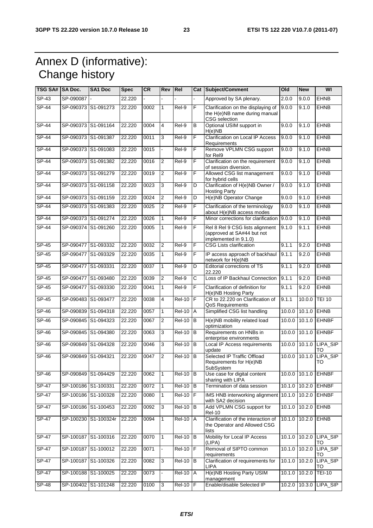## Annex D (informative): Change history

| TSG SA#  SA Doc. |                     | <b>SA1 Doc</b>       | <b>Spec</b> | <b>CR</b> | Rev   Rel      |                     |                         | Cat Subject/Comment                                                                    | Old           | <b>New</b>      | WI                           |
|------------------|---------------------|----------------------|-------------|-----------|----------------|---------------------|-------------------------|----------------------------------------------------------------------------------------|---------------|-----------------|------------------------------|
| $SP-43$          | SP-090087           |                      | 22.220      |           |                |                     |                         | Approved by SA plenary.                                                                | 2.0.0         | 9.0.0           | <b>EHNB</b>                  |
| <b>SP-44</b>     |                     | SP-090373 S1-091273  | 22.220      | 0002      | $\mathbf{1}$   | Rel-9               | F                       | Clarification on the displaying of<br>the H(e)NB name during manual<br>CSG selection   | 9.0.0         | 9.1.0           | <b>EHNB</b>                  |
| SP-44            |                     | SP-090373 S1-091164  | 22.220      | 0004      | 4              | Rel-9               | В                       | Optional USIM support in<br>H(e)NB                                                     | 9.0.0         | 9.1.0           | <b>EHNB</b>                  |
| $SP-44$          |                     | SP-090373 S1-091387  | 22.220      | 0011      | 3              | Rel-9               | F                       | <b>Clarification on Local IP Access</b><br>Requirements                                | 9.0.0         | 9.1.0           | <b>EHNB</b>                  |
| $SP-44$          |                     | SP-090373 S1-091083  | 22.220      | 0015      |                | Rel-9               | F                       | Remove VPLMN CSG support<br>for Rel9                                                   | 9.0.0         | 9.1.0           | <b>EHNB</b>                  |
| $SP-44$          |                     | SP-090373 S1-091382  | 22.220      | 0016      | $\overline{2}$ | $ReI-9$             | F                       | Clarification on the requirement<br>of session diversion.                              | 9.0.0         | 9.1.0           | <b>EHNB</b>                  |
| <b>SP-44</b>     |                     | SP-090373 S1-091279  | 22.220      | 0019      | $\overline{2}$ | Rel-9               | F                       | Allowed CSG list management<br>for hybrid cells                                        | 9.0.0         | 9.1.0           | <b>EHNB</b>                  |
| <b>SP-44</b>     |                     | SP-090373 S1-091158  | 22.220      | 0023      | 3              | Rel-9               | D                       | Clarification of H(e)NB Owner /<br><b>Hosting Party</b>                                | 9.0.0         | 9.1.0           | <b>EHNB</b>                  |
| <b>SP-44</b>     |                     | SP-090373 S1-091159  | 22.220      | 0024      | 2              | Rel-9               | D                       | H(e)NB Operator Change                                                                 | 9.0.0         | 9.1.0           | <b>EHNB</b>                  |
| <b>SP-44</b>     |                     | SP-090373 S1-091383  | 22.220      | 0025      | $\overline{2}$ | Rel-9               | F                       | Clarification of the terminology<br>about H(e)NB access modes                          | 9.0.0         | 9.1.0           | <b>EHNB</b>                  |
| $SP-44$          |                     | SP-090373 S1-091274  | 22.220      | 0026      | 1              | $Rel-9$             | F                       | Minor corrections for clarification                                                    | 9.0.0         | 9.1.0           | <b>EHNB</b>                  |
| $SP-44$          |                     | SP-090374 S1-091260  | 22.220      | 0005      | 1              | Rel-9               | F                       | Rel 8 Rel 9 CSG lists alignment<br>(approved at SA#44 but not<br>implemented in 9.1.0) | 9.1.0         | 9.1.1           | <b>EHNB</b>                  |
| SP-45            |                     | SP-090477 S1-093332  | 22.220      | 0032      | $\overline{2}$ | Rel-9               | F                       | <b>CSG Lists clarification</b>                                                         | 9.1.1         | 9.2.0           | <b>EHNB</b>                  |
| $SP-45$          |                     | SP-090477 S1-093329  | 22.220      | 0035      | 1              | Rel-9               | F                       | IP access approach of backhaul<br>network for H(e)NB                                   | 9.1.1         | 9.2.0           | <b>EHNB</b>                  |
| $SP-45$          | SP-090477 S1-093331 |                      | 22.220      | 0037      | 1              | Rel-9               | D                       | Editorial corrections of TS<br>22.220                                                  | 9.1.1         | 9.2.0           | <b>EHNB</b>                  |
| $SP-45$          |                     | SP-090477 S1-093480  | 22.220      | 0039      | $\overline{2}$ | $ReI-9$             | C                       | Loss of IP Backhaul Connection                                                         | 9.1.1         | 9.2.0           | <b>EHNB</b>                  |
| SP-45            |                     | SP-090477 S1-093330  | 22.220      | 0041      | 1              | Rel-9               | F                       | Clarification of definition for<br>H(e)NB Hosting Party                                | 9.1.1         | 9.2.0           | <b>EHNB</b>                  |
| <b>SP-45</b>     |                     | SP-090483 S1-093477  | 22.220      | 0038      | $\overline{4}$ | <b>Rel-10</b>       | F                       | CR to 22.220 on Clarification of<br>QoS Requirements                                   | 9.1.1         | 10.0.0          | <b>TEI 10</b>                |
| SP-46            |                     | SP-090839 S1-094318  | 22.220      | 0057      | 1              | <b>Rel-10</b>       | A                       | Simplified CSG list handling                                                           |               | 10.0.0 10.1.0   | <b>EHNB</b>                  |
| $SP-46$          |                     | SP-090845 S1-094323  | 22.220      | 0067      | $\overline{2}$ | <b>Rel-10</b>       | l B                     | H(e)NB mobility related load<br>optimization                                           |               | 10.0.0 10.1.0   | <b>EHNBF</b>                 |
| $SP-46$          |                     | SP-090845 S1-094380  | 22.220      | 0063      | 3              | <b>Rel-10</b>       | B                       | Requirements on HNBs in<br>enterprise environments                                     |               | 10.0.0 10.1.0   | <b>EHNBF</b>                 |
| $SP-46$          | SP-090849           | S1-094328            | 22.220      | 0046      | 3              | <b>Rel-10</b>       | B                       | Local IP Access requirements<br>update                                                 |               | 10.0.0 10.1.0   | LIPA_SIP<br>TO               |
| $SP-46$          | SP-090849           | S1-094321            | 22,220      | 0047      | 2              | $Rel-10$            | lВ                      | Selected IP Traffic Offload<br>Requirements for H(e)NB<br>SubSystem                    |               | 10.0.0 10.1.0   | LIPA_SIP<br>TO               |
| SP-46            |                     | SP-090849 S1-094429  | 22.220      | 0062      | 1              | $Rel-10$ B          |                         | Use case for digital content<br>sharing with LIPA                                      |               |                 | 10.0.0 10.1.0 EHNBF          |
| <b>SP-47</b>     | SP-100186 S1-100331 |                      | 22.220      | 0072      | $\mathbf{1}$   | <b>Rel-10</b>       | B                       | Termination of data session                                                            |               | $10.1.0$ 10.2.0 | <b>EHNBF</b>                 |
| $SP-47$          |                     | SP-100186 S1-100328  | 22.220      | 0080      | 1              | $Rel-10$ $F$        |                         | IMS HNB interworking alignment<br>with SA2 decision                                    | 10.1.0 10.2.0 |                 | <b>EHNBF</b>                 |
| <b>SP-47</b>     |                     | SP-100186 S1-100453  | 22.220      | 0092      | $\mathbf{3}$   | <b>Rel-10</b>       | B                       | Add VPLMN CSG support for<br>Rel-10                                                    |               | $10.1.0$ 10.2.0 | <b>EHNB</b>                  |
| SP-47            |                     | SP-100230 S1-100324r | 22.220      | 0094      | 1              | <b>Rel-10 A</b>     |                         | Clarification of the interaction of<br>the Operator and Allowed CSG<br>lists           |               | 10.1.0 10.2.0   | <b>EHNB</b>                  |
| SP-47            |                     | SP-100187 S1-100316  | 22.220      | 0070      | $\mathbf{1}$   | <b>Rel-10</b>       | B                       | Mobility for Local IP Access<br>(LIPA)                                                 |               |                 | 10.1.0 10.2.0 LIPA SIP<br>TO |
| $SP-47$          |                     | SP-100187 S1-100012  | 22.220      | 0071      |                | $\overline{Rel-10}$ | $\overline{\mathsf{F}}$ | Removal of SIPTO common<br>requirements                                                |               | $10.1.0$ 10.2.0 | LIPA_SIP<br>TO               |
| $SP-47$          |                     | SP-100187 S1-100326  | 22.220      | 0082      | 3              | <b>Rel-10</b>       | IB                      | Clarification of requirements for<br>LIPA                                              |               | 10.1.0 10.2.0   | LIPA_SIP<br>то               |
| $SP-47$          |                     | SP-100188 S1-100025  | 22.220      | 0073      |                | <b>Rel-10</b>       | A                       | H(e)NB Hosting Party USIM<br>management                                                |               | $10.1.0$ 10.2.0 | <b>TEI-10</b>                |
| $SP-48$          |                     | SP-100402 S1-101248  | 22.220      | 0100      | 3              | $Rel-10$ $F$        |                         | Enable/disable Selected IP                                                             |               |                 | 10.2.0 10.3.0 LIPA_SIP       |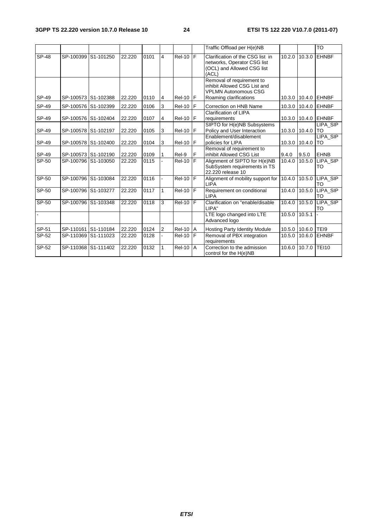|         |           |                     |        |      |                |               |     | Traffic Offload per H(e)NB                                                                             |        |               | <b>TO</b>             |
|---------|-----------|---------------------|--------|------|----------------|---------------|-----|--------------------------------------------------------------------------------------------------------|--------|---------------|-----------------------|
| SP-48   | SP-100399 | S1-101250           | 22.220 | 0101 | 4              | <b>Rel-10</b> | IF  | Clarification of the CSG list in<br>networks, Operator CSG list<br>(OCL) and Allowed CSG list<br>(ACL) | 10.2.0 | 10.3.0        | <b>EHNBF</b>          |
|         |           |                     |        |      |                |               |     | Removal of requirement to<br>inhibit Allowed CSG List and<br><b>VPLMN Autonomous CSG</b>               |        |               |                       |
| SP-49   |           | SP-100573 S1-102388 | 22.220 | 0110 | 4              | $Rel-10$ F    |     | Roaming clarifications                                                                                 |        | 10.3.0 10.4.0 | EHNBF                 |
| SP-49   |           | SP-100576 S1-102399 | 22.220 | 0106 | 3              | Rel-10        | IF  | Correction on HNB Name                                                                                 |        | 10.3.0 10.4.0 | <b>LEHNBF</b>         |
| SP-49   |           | SP-100576 S1-102404 | 22.220 | 0107 | $\overline{4}$ | $Rel-10$ $F$  |     | <b>Clarification of LIPA</b><br>requirements                                                           |        |               | 10.3.0 10.4.0 EHNBF   |
| SP-49   |           | SP-100578 S1-102197 | 22.220 | 0105 | 3              | <b>Rel-10</b> | l F | SIPTO for H(e)NB Subsystems<br>Policy and User Interaction                                             |        | 10.3.0 10.4.0 | LIPA_SIP<br><b>TO</b> |
| SP-49   |           | SP-100578 S1-102400 | 22.220 | 0104 | 3              | <b>Rel-10</b> | F   | Enablement/disablement<br>policies for LIPA                                                            |        | 10.3.0 10.4.0 | LIPA_SIP<br>TO        |
| SP-49   |           | SP-100573 S1-102190 | 22.220 | 0109 | 1              | Rel-9         | F   | Removal of requirement to<br>inhibit Allowed CSG List                                                  | 9.4.0  | 9.5.0         | <b>EHNB</b>           |
| SP-50   |           | SP-100796 S1-103050 | 22.220 | 0115 |                | <b>Rel-10</b> | F   | Alignment of SIPTO for H(e)NB<br>SubSystem requirements in TS<br>22.220 release 10                     | 10.4.0 | 10.5.0        | LIPA_SIP<br>TO        |
| SP-50   |           | SP-100796 S1-103084 | 22.220 | 0116 |                | $Rel-10$ $F$  |     | Alignment of mobility support for<br><b>LIPA</b>                                                       | 10.4.0 | 10.5.0        | LIPA SIP<br>TO        |
| SP-50   |           | SP-100796 S1-103277 | 22.220 | 0117 | 1              | <b>Rel-10</b> | F   | Requirement on conditional<br><b>LIPA</b>                                                              | 10.4.0 | 10.5.0        | LIPA SIP<br>TO        |
| $SP-50$ |           | SP-100796 S1-103348 | 22.220 | 0118 | 3              | <b>Rel-10</b> | ĪF  | Clarification on "enable/disable<br>LIPA"                                                              | 10.4.0 | 10.5.0        | LIPA_SIP<br><b>TO</b> |
|         |           |                     |        |      |                |               |     | LTE logo changed into LTE<br>Advanced logo                                                             | 10.5.0 | 10.5.1        |                       |
| SP-51   |           | SP-110161 S1-110184 | 22.220 | 0124 | $\overline{2}$ | <b>Rel-10</b> | I A | <b>Hosting Party Identity Module</b>                                                                   |        | 10.5.0 10.6.0 | TEI9                  |
| $SP-52$ | SP-110369 | S1-111023           | 22.220 | 0128 |                | <b>Rel-10</b> | ΙF  | Removal of PBX integration<br>requirements                                                             | 10.5.0 | 10.6.0        | <b>EHNBF</b>          |
| SP-52   | SP-110368 | S1-111402           | 22.220 | 0132 | 1              | <b>Rel-10</b> | l A | Correction to the admission<br>control for the H(e)NB                                                  | 10.6.0 | 10.7.0        | <b>TEI10</b>          |